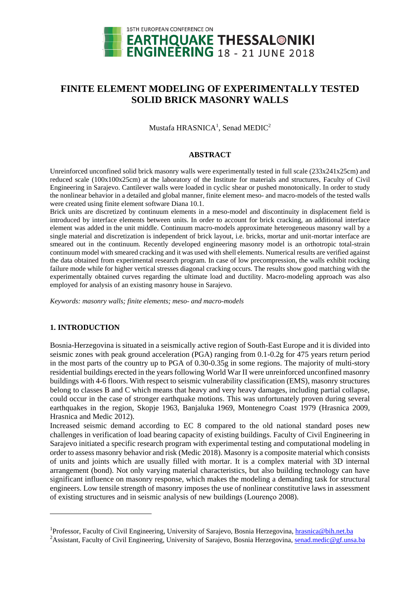

# **FINITE ELEMENT MODELING OF EXPERIMENTALLY TESTED SOLID BRICK MASONRY WALLS**

Mustafa HRASNICA $^1$ , Senad MEDIC $^2$ 

#### **ABSTRACT**

Unreinforced unconfined solid brick masonry walls were experimentally tested in full scale (233x241x25cm) and reduced scale (100x100x25cm) at the laboratory of the Institute for materials and structures, Faculty of Civil Engineering in Sarajevo. Cantilever walls were loaded in cyclic shear or pushed monotonically. In order to study the nonlinear behavior in a detailed and global manner, finite element meso- and macro-models of the tested walls were created using finite element software Diana 10.1.

Brick units are discretized by continuum elements in a meso-model and discontinuity in displacement field is introduced by interface elements between units. In order to account for brick cracking, an additional interface element was added in the unit middle. Continuum macro-models approximate heterogeneous masonry wall by a single material and discretization is independent of brick layout, i.e. bricks, mortar and unit-mortar interface are smeared out in the continuum. Recently developed engineering masonry model is an orthotropic total-strain continuum model with smeared cracking and it was used with shell elements. Numerical results are verified against the data obtained from experimental research program. In case of low precompression, the walls exhibit rocking failure mode while for higher vertical stresses diagonal cracking occurs. The results show good matching with the experimentally obtained curves regarding the ultimate load and ductility. Macro-modeling approach was also employed for analysis of an existing masonry house in Sarajevo.

*Keywords: masonry walls; finite elements; meso- and macro-models*

# **1. INTRODUCTION**

-

Bosnia-Herzegovina is situated in a seismically active region of South-East Europe and it is divided into seismic zones with peak ground acceleration (PGA) ranging from 0.1-0.2g for 475 years return period in the most parts of the country up to PGA of 0.30-0.35g in some regions. The majority of multi-story residential buildings erected in the years following World War II were unreinforced unconfined masonry buildings with 4-6 floors. With respect to seismic vulnerability classification (EMS), masonry structures belong to classes B and C which means that heavy and very heavy damages, including partial collapse, could occur in the case of stronger earthquake motions. This was unfortunately proven during several earthquakes in the region, Skopje 1963, Banjaluka 1969, Montenegro Coast 1979 (Hrasnica 2009, Hrasnica and Medic 2012).

Increased seismic demand according to EC 8 compared to the old national standard poses new challenges in verification of load bearing capacity of existing buildings. Faculty of Civil Engineering in Sarajevo initiated a specific research program with experimental testing and computational modeling in order to assess masonry behavior and risk (Medic 2018). Masonry is a composite material which consists of units and joints which are usually filled with mortar. It is a complex material with 3D internal arrangement (bond). Not only varying material characteristics, but also building technology can have significant influence on masonry response, which makes the modeling a demanding task for structural engineers. Low tensile strength of masonry imposes the use of nonlinear constitutive laws in assessment of existing structures and in seismic analysis of new buildings (Lourenço 2008).

<sup>&</sup>lt;sup>1</sup>Professor, Faculty of Civil Engineering, University of Sarajevo, Bosnia Herzegovina, *hrasnica@bih.net.ba* 

<sup>&</sup>lt;sup>2</sup>Assistant, Faculty of Civil Engineering, University of Sarajevo, Bosnia Herzegovina[, senad.medic@gf.unsa.ba](mailto:senad.medic@gf.unsa.ba)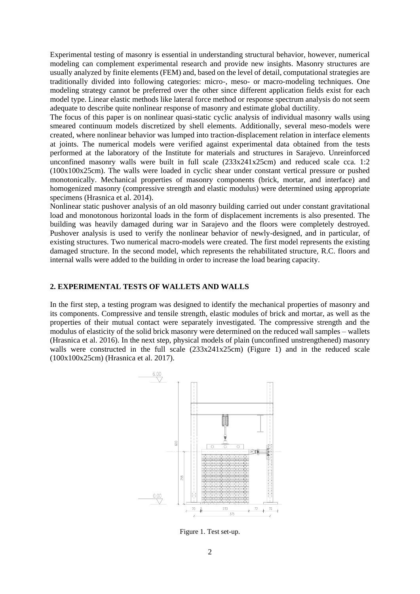Experimental testing of masonry is essential in understanding structural behavior, however, numerical modeling can complement experimental research and provide new insights. Masonry structures are usually analyzed by finite elements (FEM) and, based on the level of detail, computational strategies are traditionally divided into following categories: micro-, meso- or macro-modeling techniques. One modeling strategy cannot be preferred over the other since different application fields exist for each model type. Linear elastic methods like lateral force method or response spectrum analysis do not seem adequate to describe quite nonlinear response of masonry and estimate global ductility.

The focus of this paper is on nonlinear quasi-static cyclic analysis of individual masonry walls using smeared continuum models discretized by shell elements. Additionally, several meso-models were created, where nonlinear behavior was lumped into traction-displacement relation in interface elements at joints. The numerical models were verified against experimental data obtained from the tests performed at the laboratory of the Institute for materials and structures in Sarajevo. Unreinforced unconfined masonry walls were built in full scale (233x241x25cm) and reduced scale cca. 1:2 (100x100x25cm). The walls were loaded in cyclic shear under constant vertical pressure or pushed monotonically. Mechanical properties of masonry components (brick, mortar, and interface) and homogenized masonry (compressive strength and elastic modulus) were determined using appropriate specimens (Hrasnica et al. 2014).

Nonlinear static pushover analysis of an old masonry building carried out under constant gravitational load and monotonous horizontal loads in the form of displacement increments is also presented. The building was heavily damaged during war in Sarajevo and the floors were completely destroyed. Pushover analysis is used to verify the nonlinear behavior of newly-designed, and in particular, of existing structures. Two numerical macro-models were created. The first model represents the existing damaged structure. In the second model, which represents the rehabilitated structure, R.C. floors and internal walls were added to the building in order to increase the load bearing capacity.

## **2. EXPERIMENTAL TESTS OF WALLETS AND WALLS**

In the first step, a testing program was designed to identify the mechanical properties of masonry and its components. Compressive and tensile strength, elastic modules of brick and mortar, as well as the properties of their mutual contact were separately investigated. The compressive strength and the modulus of elasticity of the solid brick masonry were determined on the reduced wall samples – wallets (Hrasnica et al. 2016). In the next step, physical models of plain (unconfined unstrengthened) masonry walls were constructed in the full scale (233x241x25cm) (Figure 1) and in the reduced scale (100x100x25cm) (Hrasnica et al. 2017).



Figure 1. Test set-up.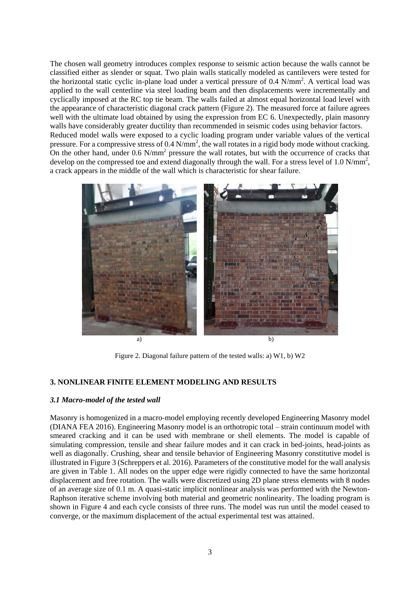The chosen wall geometry introduces complex response to seismic action because the walls cannot be classified either as slender or squat. Two plain walls statically modeled as cantilevers were tested for the horizontal static cyclic in-plane load under a vertical pressure of 0.4 N/mm<sup>2</sup>. A vertical load was applied to the wall centerline via steel loading beam and then displacements were incrementally and cyclically imposed at the RC top tie beam. The walls failed at almost equal horizontal load level with the appearance of characteristic diagonal crack pattern (Figure 2). The measured force at failure agrees well with the ultimate load obtained by using the expression from EC 6. Unexpectedly, plain masonry walls have considerably greater ductility than recommended in seismic codes using behavior factors. Reduced model walls were exposed to a cyclic loading program under variable values of the vertical pressure. For a compressive stress of  $0.4 \text{ N/mm}^2$ , the wall rotates in a rigid body mode without cracking. On the other hand, under 0.6 N/mm<sup>2</sup> pressure the wall rotates, but with the occurrence of cracks that develop on the compressed toe and extend diagonally through the wall. For a stress level of 1.0 N/mm<sup>2</sup>, a crack appears in the middle of the wall which is characteristic for shear failure.



Figure 2. Diagonal failure pattern of the tested walls: a) W1, b) W2

## **3. NONLINEAR FINITE ELEMENT MODELING AND RESULTS**

#### *3.1 Macro-model of the tested wall*

Masonry is homogenized in a macro-model employing recently developed Engineering Masonry model (DIANA FEA 2016). Engineering Masonry model is an orthotropic total – strain continuum model with smeared cracking and it can be used with membrane or shell elements. The model is capable of simulating compression, tensile and shear failure modes and it can crack in bed-joints, head-joints as well as diagonally. Crushing, shear and tensile behavior of Engineering Masonry constitutive model is illustrated in Figure 3 (Schreppers et al. 2016). Parameters of the constitutive model for the wall analysis are given in Table 1. All nodes on the upper edge were rigidly connected to have the same horizontal displacement and free rotation. The walls were discretized using 2D plane stress elements with 8 nodes of an average size of 0.1 m. A quasi-static implicit nonlinear analysis was performed with the Newton-Raphson iterative scheme involving both material and geometric nonlinearity. The loading program is shown in Figure 4 and each cycle consists of three runs. The model was run until the model ceased to converge, or the maximum displacement of the actual experimental test was attained.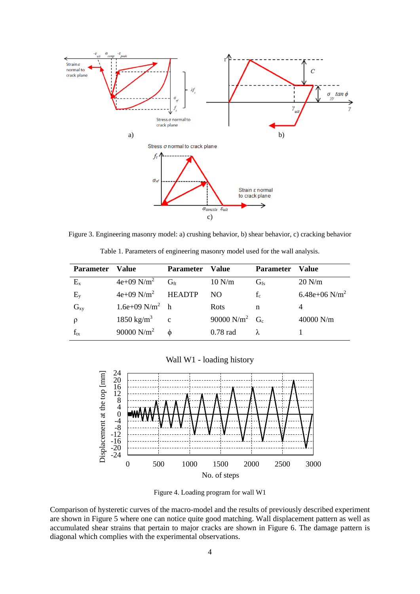

Figure 3. Engineering masonry model: a) crushing behavior, b) shear behavior, c) cracking behavior

|  |  |  | Table 1. Parameters of engineering masonry model used for the wall analysis. |  |  |  |
|--|--|--|------------------------------------------------------------------------------|--|--|--|
|--|--|--|------------------------------------------------------------------------------|--|--|--|

| <b>Parameter</b> | Value                           | <b>Parameter</b> | Value                        | <b>Parameter</b> | Value            |
|------------------|---------------------------------|------------------|------------------------------|------------------|------------------|
| $E_{x}$          | $4e+09$ N/m <sup>2</sup>        | $G_{\rm ft}$     | 10 N/m                       | G <sub>fs</sub>  | $20$ N/m         |
| $E_{v}$          | $4e+09$ N/m <sup>2</sup> HEADTP |                  | NO.                          | $f_c$            | 6.48e+06 $N/m^2$ |
| $G_{xy}$         | 1.6e+09 $N/m^2$ h               |                  | <b>Rots</b>                  | n                |                  |
| ρ                | $1850 \text{ kg/m}^3$ c         |                  | 90000 $N/m^2$ G <sub>c</sub> |                  | $40000$ N/m      |
| $f_{tx}$         | 90000 $N/m^2$                   |                  | $0.78$ rad                   |                  |                  |

Wall W1 - loading history



Figure 4. Loading program for wall W1

Comparison of hysteretic curves of the macro-model and the results of previously described experiment are shown in Figure 5 where one can notice quite good matching. Wall displacement pattern as well as accumulated shear strains that pertain to major cracks are shown in Figure 6. The damage pattern is diagonal which complies with the experimental observations.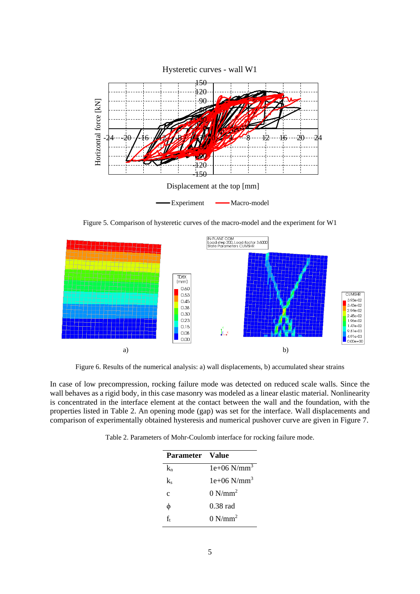

Figure 5. Comparison of hysteretic curves of the macro-model and the experiment for W1



Figure 6. Results of the numerical analysis: a) wall displacements, b) accumulated shear strains

In case of low precompression, rocking failure mode was detected on reduced scale walls. Since the wall behaves as a rigid body, in this case masonry was modeled as a linear elastic material. Nonlinearity is concentrated in the interface element at the contact between the wall and the foundation, with the properties listed in Table 2. An opening mode (gap) was set for the interface. Wall displacements and comparison of experimentally obtained hysteresis and numerical pushover curve are given in Figure 7.

|  |  |  | Table 2. Parameters of Mohr-Coulomb interface for rocking failure mode. |
|--|--|--|-------------------------------------------------------------------------|
|  |  |  |                                                                         |

| Parameter Value |                           |
|-----------------|---------------------------|
| k.              | $1e+06$ N/mm <sup>3</sup> |
| k               | $1e+06$ N/mm <sup>3</sup> |
| $\mathbf c$     | $0 N/mm^2$                |
| φ               | $0.38$ rad                |
| f,              | $0 N/mm^2$                |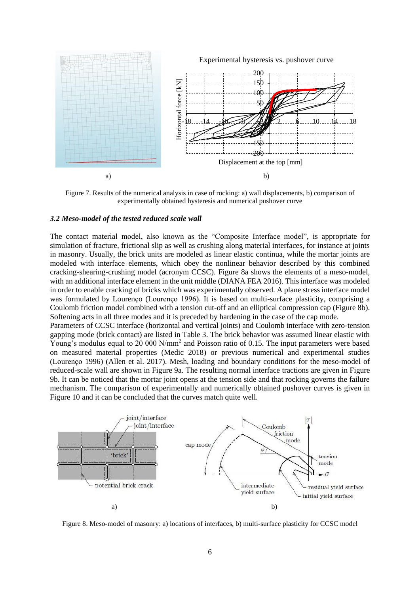

Figure 7. Results of the numerical analysis in case of rocking: a) wall displacements, b) comparison of experimentally obtained hysteresis and numerical pushover curve

#### *3.2 Meso-model of the tested reduced scale wall*

The contact material model, also known as the "Composite Interface model", is appropriate for simulation of fracture, frictional slip as well as crushing along material interfaces, for instance at joints in masonry. Usually, the brick units are modeled as linear elastic continua, while the mortar joints are modeled with interface elements, which obey the nonlinear behavior described by this combined cracking-shearing-crushing model (acronym CCSC). Figure 8a shows the elements of a meso-model, with an additional interface element in the unit middle (DIANA FEA 2016). This interface was modeled in order to enable cracking of bricks which was experimentally observed. A plane stress interface model was formulated by Lourenço (Lourenço 1996). It is based on multi-surface plasticity, comprising a Coulomb friction model combined with a tension cut-off and an elliptical compression cap (Figure 8b). Softening acts in all three modes and it is preceded by hardening in the case of the cap mode.

Parameters of CCSC interface (horizontal and vertical joints) and Coulomb interface with zero-tension gapping mode (brick contact) are listed in Table 3. The brick behavior was assumed linear elastic with Young's modulus equal to 20 000 N/mm<sup>2</sup> and Poisson ratio of 0.15. The input parameters were based on measured material properties (Medic 2018) or previous numerical and experimental studies (Lourenço 1996) (Allen et al. 2017). Mesh, loading and boundary conditions for the meso-model of reduced-scale wall are shown in Figure 9a. The resulting normal interface tractions are given in Figure 9b. It can be noticed that the mortar joint opens at the tension side and that rocking governs the failure mechanism. The comparison of experimentally and numerically obtained pushover curves is given in Figure 10 and it can be concluded that the curves match quite well.



Figure 8. Meso-model of masonry: a) locations of interfaces, b) multi-surface plasticity for CCSC model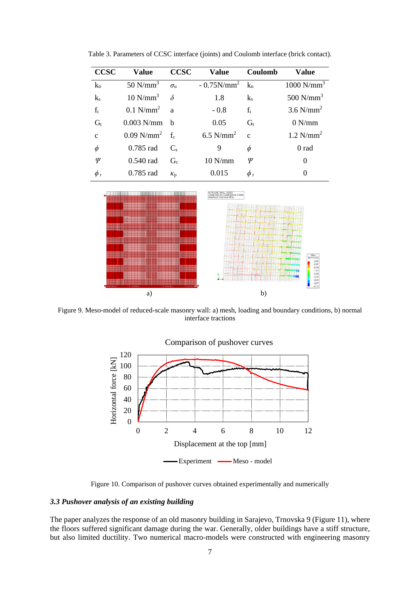| <b>CCSC</b>  | <b>Value</b>                            | <b>CCSC</b>      | <b>Value</b>            | Coulomb       | <b>Value</b>             |
|--------------|-----------------------------------------|------------------|-------------------------|---------------|--------------------------|
| $k_n$        | 50 $N/mm^3$                             | $\sigma_{\rm n}$ | $-0.75N/mm^2$           | $k_{n}$       | $1000$ N/mm <sup>3</sup> |
| $k_{s}$      | $10$ N/mm <sup>3</sup>                  | $\delta$         | 1.8                     | $k_{s}$       | 500 $N/mm^3$             |
| $f_t$        | $0.1$ N/mm <sup>2</sup> a               |                  | $-0.8$                  | $f_t$         | $3.6$ N/mm <sup>2</sup>  |
| $G_t$        | $0.003$ N/mm                            | h                | 0.05                    | $G_{t}$       | 0 N/mm                   |
| $\mathbf{C}$ | $0.09$ N/mm <sup>2</sup> f <sub>c</sub> |                  | $6.5$ N/mm <sup>2</sup> | $\mathcal{C}$ | $1.2$ N/mm <sup>2</sup>  |
| $\phi$       | $0.785$ rad                             | $C_{s}$          | 9                       | φ             | 0 rad                    |
| Ψ            | $0.540$ rad                             | $G_{c}$          | $10$ N/mm               | Ψ             | 0                        |
| $\phi$ r     | $0.785$ rad                             | $\kappa_{p}$     | 0.015                   | $\phi$ r      | $\Omega$                 |

Table 3. Parameters of CCSC interface (joints) and Coulomb interface (brick contact).



Figure 9. Meso-model of reduced-scale masonry wall: a) mesh, loading and boundary conditions, b) normal interface tractions



Figure 10. Comparison of pushover curves obtained experimentally and numerically

# *3.3 Pushover analysis of an existing building*

The paper analyzes the response of an old masonry building in Sarajevo, Trnovska 9 (Figure 11), where the floors suffered significant damage during the war. Generally, older buildings have a stiff structure, but also limited ductility. Two numerical macro-models were constructed with engineering masonry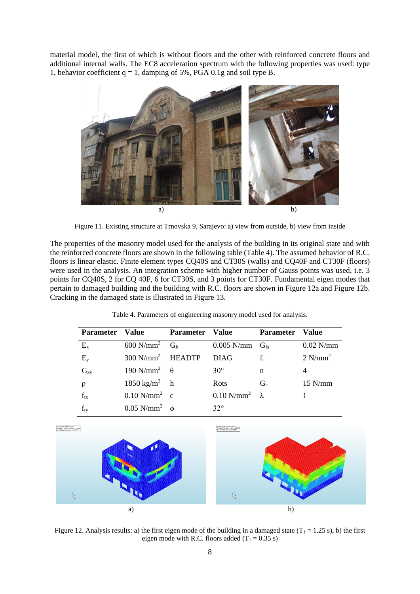material model, the first of which is without floors and the other with reinforced concrete floors and additional internal walls. The EC8 acceleration spectrum with the following properties was used: type 1, behavior coefficient  $q = 1$ , damping of 5%, PGA 0.1g and soil type B.



Figure 11. Existing structure at Trnovska 9, Sarajevo: a) view from outside, b) view from inside

The properties of the masonry model used for the analysis of the building in its original state and with the reinforced concrete floors are shown in the following table (Table 4). The assumed behavior of R.C. floors is linear elastic. Finite element types CQ40S and CT30S (walls) and CQ40F and CT30F (floors) were used in the analysis. An integration scheme with higher number of Gauss points was used, i.e. 3 points for CQ40S, 2 for CQ 40F, 6 for CT30S, and 3 points for CT30F. Fundamental eigen modes that pertain to damaged building and the building with R.C. floors are shown in Figure 12a and Figure 12b. Cracking in the damaged state is illustrated in Figure 13.

| Parameter Value |                                 | <b>Parameter Value</b> |                                                    | Parameter Value |                       |
|-----------------|---------------------------------|------------------------|----------------------------------------------------|-----------------|-----------------------|
| $E_{x}$         |                                 |                        | 600 N/mm <sup>2</sup> $G_{ft}$ 0.005 N/mm $G_{fs}$ |                 | $0.02$ N/mm           |
| $E_{y}$         | $300 \text{ N/mm}^2$ HEADTP     |                        | <b>DIAG</b>                                        | $f_c$           | $2$ N/mm <sup>2</sup> |
| $G_{xy}$        | $190 \text{ N/mm}^2$ $\theta$   |                        | $30^\circ$                                         | n               |                       |
| $\rho$          | $1850 \text{ kg/m}^3$ h         |                        | Rots                                               | $G_c$           | $15$ N/mm             |
| $f_{tx}$        | $0.10$ N/mm <sup>2</sup> c      |                        | $0.10$ N/mm <sup>2</sup> $\lambda$                 |                 |                       |
| $f_{ty}$        | $0.05$ N/mm <sup>2</sup> $\phi$ |                        | $32^\circ$                                         |                 |                       |

Table 4. Parameters of engineering masonry model used for analysis.



Figure 12. Analysis results: a) the first eigen mode of the building in a damaged state  $(T_1 = 1.25 s)$ , b) the first eigen mode with R.C. floors added  $(T_1 = 0.35 \text{ s})$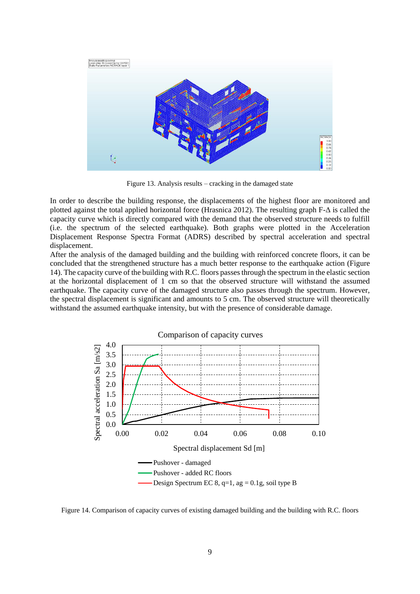

Figure 13. Analysis results – cracking in the damaged state

In order to describe the building response, the displacements of the highest floor are monitored and plotted against the total applied horizontal force (Hrasnica 2012). The resulting graph  $F-\Delta$  is called the capacity curve which is directly compared with the demand that the observed structure needs to fulfill (i.e. the spectrum of the selected earthquake). Both graphs were plotted in the Acceleration Displacement Response Spectra Format (ADRS) described by spectral acceleration and spectral displacement.

After the analysis of the damaged building and the building with reinforced concrete floors, it can be concluded that the strengthened structure has a much better response to the earthquake action (Figure 14). The capacity curve of the building with R.C. floors passes through the spectrum in the elastic section at the horizontal displacement of 1 cm so that the observed structure will withstand the assumed earthquake. The capacity curve of the damaged structure also passes through the spectrum. However, the spectral displacement is significant and amounts to 5 cm. The observed structure will theoretically withstand the assumed earthquake intensity, but with the presence of considerable damage.



Figure 14. Comparison of capacity curves of existing damaged building and the building with R.C. floors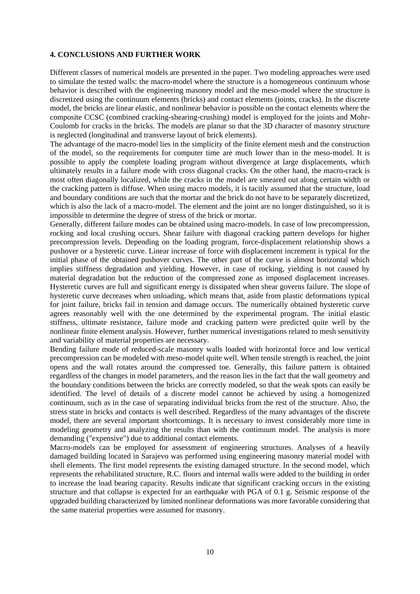# **4. CONCLUSIONS AND FURTHER WORK**

Different classes of numerical models are presented in the paper. Two modeling approaches were used to simulate the tested walls: the macro-model where the structure is a homogeneous continuum whose behavior is described with the engineering masonry model and the meso-model where the structure is discretized using the continuum elements (bricks) and contact elements (joints, cracks). In the discrete model, the bricks are linear elastic, and nonlinear behavior is possible on the contact elements where the composite CCSC (combined cracking-shearing-crushing) model is employed for the joints and Mohr-Coulomb for cracks in the bricks. The models are planar so that the 3D character of masonry structure is neglected (longitudinal and transverse layout of brick elements).

The advantage of the macro-model lies in the simplicity of the finite element mesh and the construction of the model, so the requirements for computer time are much lower than in the meso-model. It is possible to apply the complete loading program without divergence at large displacements, which ultimately results in a failure mode with cross diagonal cracks. On the other hand, the macro-crack is most often diagonally localized, while the cracks in the model are smeared out along certain width or the cracking pattern is diffuse. When using macro models, it is tacitly assumed that the structure, load and boundary conditions are such that the mortar and the brick do not have to be separately discretized, which is also the lack of a macro-model. The element and the joint are no longer distinguished, so it is impossible to determine the degree of stress of the brick or mortar.

Generally, different failure modes can be obtained using macro-models. In case of low precompression, rocking and local crushing occurs. Shear failure with diagonal cracking pattern develops for higher precompression levels. Depending on the loading program, force-displacement relationship shows a pushover or a hysteretic curve. Linear increase of force with displacement increment is typical for the initial phase of the obtained pushover curves. The other part of the curve is almost horizontal which implies stiffness degradation and yielding. However, in case of rocking, yielding is not caused by material degradation but the reduction of the compressed zone as imposed displacement increases. Hysteretic curves are full and significant energy is dissipated when shear governs failure. The slope of hysteretic curve decreases when unloading, which means that, aside from plastic deformations typical for joint failure, bricks fail in tension and damage occurs. The numerically obtained hysteretic curve agrees reasonably well with the one determined by the experimental program. The initial elastic stiffness, ultimate resistance, failure mode and cracking pattern were predicted quite well by the nonlinear finite element analysis. However, further numerical investigations related to mesh sensitivity and variability of material properties are necessary.

Bending failure mode of reduced-scale masonry walls loaded with horizontal force and low vertical precompression can be modeled with meso-model quite well. When tensile strength is reached, the joint opens and the wall rotates around the compressed toe. Generally, this failure pattern is obtained regardless of the changes in model parameters, and the reason lies in the fact that the wall geometry and the boundary conditions between the bricks are correctly modeled, so that the weak spots can easily be identified. The level of details of a discrete model cannot be achieved by using a homogenized continuum, such as in the case of separating individual bricks from the rest of the structure. Also, the stress state in bricks and contacts is well described. Regardless of the many advantages of the discrete model, there are several important shortcomings. It is necessary to invest considerably more time in modeling geometry and analyzing the results than with the continuum model. The analysis is more demanding ("expensive") due to additional contact elements.

Macro-models can be employed for assessment of engineering structures. Analyses of a heavily damaged building located in Sarajevo was performed using engineering masonry material model with shell elements. The first model represents the existing damaged structure. In the second model, which represents the rehabilitated structure, R.C. floors and internal walls were added to the building in order to increase the load bearing capacity. Results indicate that significant cracking occurs in the existing structure and that collapse is expected for an earthquake with PGA of 0.1 g. Seismic response of the upgraded building characterized by limited nonlinear deformations was more favorable considering that the same material properties were assumed for masonry.